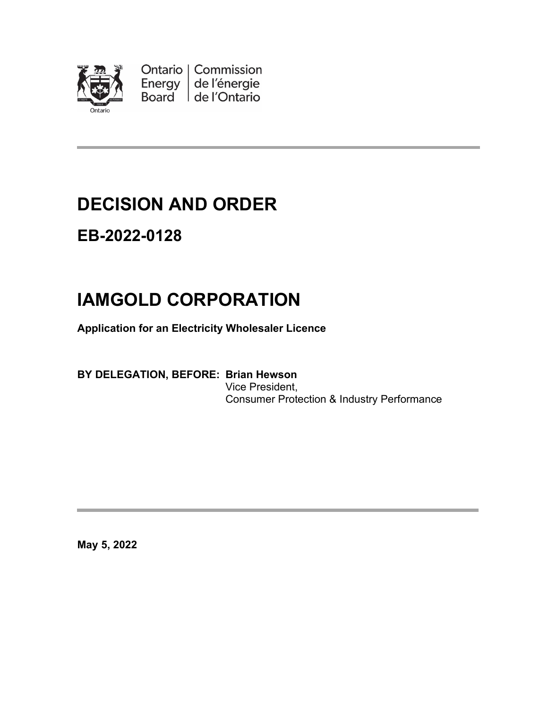

Ontario | Commission<br>Energy | de l'énergie Board de l'Ontario

## **DECISION AND ORDER**

### **EB-2022-0128**

# **IAMGOLD CORPORATION**

**Application for an Electricity Wholesaler Licence**

#### **BY DELEGATION, BEFORE: Brian Hewson** Vice President, Consumer Protection & Industry Performance

**May 5, 2022**